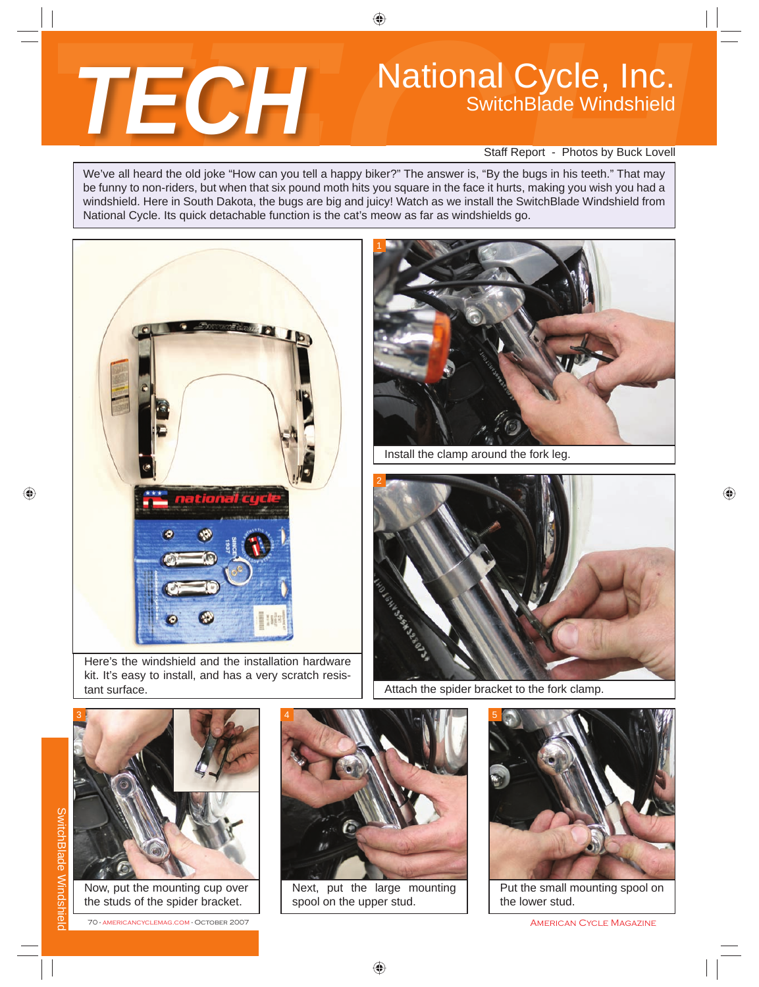

## National Cycle, Inc. SwitchBlade Windshield

Staff Report - Photos by Buck Lovell

We've all heard the old joke "How can you tell a happy biker?" The answer is, "By the bugs in his teeth." That may be funny to non-riders, but when that six pound moth hits you square in the face it hurts, making you wish you had a windshield. Here in South Dakota, the bugs are big and juicy! Watch as we install the SwitchBlade Windshield from National Cycle. Its quick detachable function is the cat's meow as far as windshields go.



Here's the windshield and the installation hardware kit. It's easy to install, and has a very scratch resistant surface.



Install the clamp around the fork leg.



Attach the spider bracket to the fork clamp.



Now, put the mounting cup over the studs of the spider bracket.

70 - americancyclemag.com - October 2007 American Cycle Magazine Cycle Magazine



Next, put the large mounting spool on the upper stud.



Put the small mounting spool on the lower stud.